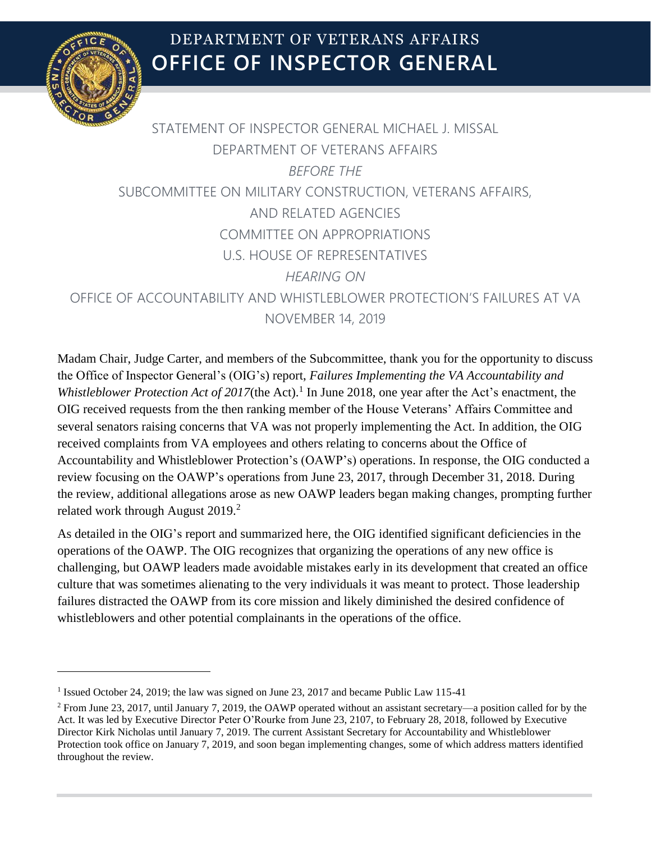

 $\overline{a}$ 

# **OFFICE OF INSPECTOR GENERAL** DEPARTMENT OF VETERANS AFFAIRS

# STATEMENT OF INSPECTOR GENERAL MICHAEL J. MISSAL DEPARTMENT OF VETERANS AFFAIRS *BEFORE THE* SUBCOMMITTEE ON MILITARY CONSTRUCTION, VETERANS AFFAIRS, AND RELATED AGENCIES COMMITTEE ON APPROPRIATIONS U.S. HOUSE OF REPRESENTATIVES *HEARING ON* OFFICE OF ACCOUNTABILITY AND WHISTLEBLOWER PROTECTION'S FAILURES AT VA NOVEMBER 14, 2019

Madam Chair, Judge Carter, and members of the Subcommittee, thank you for the opportunity to discuss the Office of Inspector General's (OIG's) report, *Failures Implementing the VA Accountability and*  Whistleblower Protection Act of 2017(the Act).<sup>1</sup> In June 2018, one year after the Act's enactment, the OIG received requests from the then ranking member of the House Veterans' Affairs Committee and several senators raising concerns that VA was not properly implementing the Act. In addition, the OIG received complaints from VA employees and others relating to concerns about the Office of Accountability and Whistleblower Protection's (OAWP's) operations. In response, the OIG conducted a review focusing on the OAWP's operations from June 23, 2017, through December 31, 2018. During the review, additional allegations arose as new OAWP leaders began making changes, prompting further related work through August  $2019<sup>2</sup>$ 

As detailed in the OIG's report and summarized here, the OIG identified significant deficiencies in the operations of the OAWP. The OIG recognizes that organizing the operations of any new office is challenging, but OAWP leaders made avoidable mistakes early in its development that created an office culture that was sometimes alienating to the very individuals it was meant to protect. Those leadership failures distracted the OAWP from its core mission and likely diminished the desired confidence of whistleblowers and other potential complainants in the operations of the office.

<sup>&</sup>lt;sup>1</sup> Issued October 24, 2019; the law was signed on June 23, 2017 and became Public Law 115-41

<sup>2</sup> From June 23, 2017, until January 7, 2019, the OAWP operated without an assistant secretary—a position called for by the Act. It was led by Executive Director Peter O'Rourke from June 23, 2107, to February 28, 2018, followed by Executive Director Kirk Nicholas until January 7, 2019. The current Assistant Secretary for Accountability and Whistleblower Protection took office on January 7, 2019, and soon began implementing changes, some of which address matters identified throughout the review.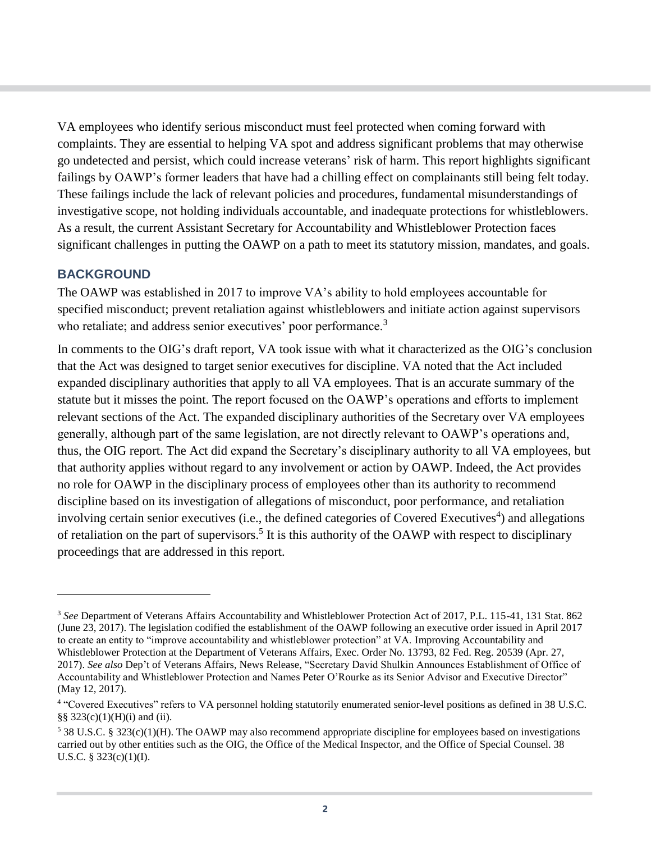VA employees who identify serious misconduct must feel protected when coming forward with complaints. They are essential to helping VA spot and address significant problems that may otherwise go undetected and persist, which could increase veterans' risk of harm. This report highlights significant failings by OAWP's former leaders that have had a chilling effect on complainants still being felt today. These failings include the lack of relevant policies and procedures, fundamental misunderstandings of investigative scope, not holding individuals accountable, and inadequate protections for whistleblowers. As a result, the current Assistant Secretary for Accountability and Whistleblower Protection faces significant challenges in putting the OAWP on a path to meet its statutory mission, mandates, and goals.

#### **BACKGROUND**

 $\overline{a}$ 

The OAWP was established in 2017 to improve VA's ability to hold employees accountable for specified misconduct; prevent retaliation against whistleblowers and initiate action against supervisors who retaliate; and address senior executives' poor performance.<sup>3</sup>

In comments to the OIG's draft report, VA took issue with what it characterized as the OIG's conclusion that the Act was designed to target senior executives for discipline. VA noted that the Act included expanded disciplinary authorities that apply to all VA employees. That is an accurate summary of the statute but it misses the point. The report focused on the OAWP's operations and efforts to implement relevant sections of the Act. The expanded disciplinary authorities of the Secretary over VA employees generally, although part of the same legislation, are not directly relevant to OAWP's operations and, thus, the OIG report. The Act did expand the Secretary's disciplinary authority to all VA employees, but that authority applies without regard to any involvement or action by OAWP. Indeed, the Act provides no role for OAWP in the disciplinary process of employees other than its authority to recommend discipline based on its investigation of allegations of misconduct, poor performance, and retaliation involving certain senior executives (i.e., the defined categories of Covered Executives<sup>4</sup>) and allegations of retaliation on the part of supervisors.<sup>5</sup> It is this authority of the OAWP with respect to disciplinary proceedings that are addressed in this report.

<sup>3</sup> *See* Department of Veterans Affairs Accountability and Whistleblower Protection Act of 2017, P.L. 115-41, 131 Stat. 862 (June 23, 2017). The legislation codified the establishment of the OAWP following an executive order issued in April 2017 to create an entity to "improve accountability and whistleblower protection" at VA. Improving Accountability and Whistleblower Protection at the Department of Veterans Affairs, Exec. Order No. 13793, 82 Fed. Reg. 20539 (Apr. 27, 2017). *See also* Dep't of Veterans Affairs, News Release, "Secretary David Shulkin Announces Establishment of Office of Accountability and Whistleblower Protection and Names Peter O'Rourke as its Senior Advisor and Executive Director" (May 12, 2017).

<sup>&</sup>lt;sup>4</sup> "Covered Executives" refers to VA personnel holding statutorily enumerated senior-level positions as defined in 38 U.S.C. §§ 323(c)(1)(H)(i) and (ii).

 $5$  38 U.S.C. § 323(c)(1)(H). The OAWP may also recommend appropriate discipline for employees based on investigations carried out by other entities such as the OIG, the Office of the Medical Inspector, and the Office of Special Counsel. 38 U.S.C. § 323(c)(1)(I).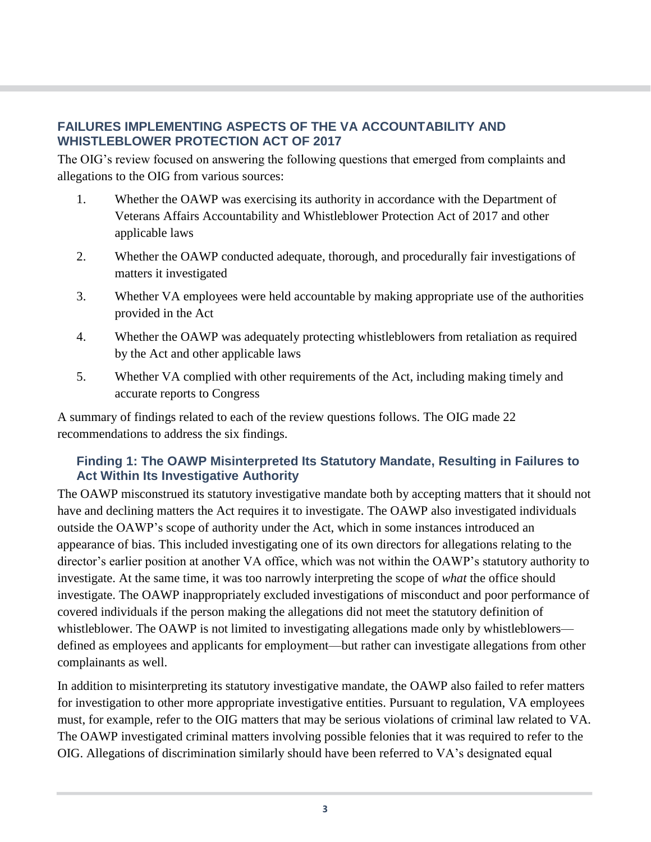#### **FAILURES IMPLEMENTING ASPECTS OF THE VA ACCOUNTABILITY AND WHISTLEBLOWER PROTECTION ACT OF 2017**

The OIG's review focused on answering the following questions that emerged from complaints and allegations to the OIG from various sources:

- 1. Whether the OAWP was exercising its authority in accordance with the Department of Veterans Affairs Accountability and Whistleblower Protection Act of 2017 and other applicable laws
- 2. Whether the OAWP conducted adequate, thorough, and procedurally fair investigations of matters it investigated
- 3. Whether VA employees were held accountable by making appropriate use of the authorities provided in the Act
- 4. Whether the OAWP was adequately protecting whistleblowers from retaliation as required by the Act and other applicable laws
- 5. Whether VA complied with other requirements of the Act, including making timely and accurate reports to Congress

A summary of findings related to each of the review questions follows. The OIG made 22 recommendations to address the six findings.

### **Finding 1: The OAWP Misinterpreted Its Statutory Mandate, Resulting in Failures to Act Within Its Investigative Authority**

The OAWP misconstrued its statutory investigative mandate both by accepting matters that it should not have and declining matters the Act requires it to investigate. The OAWP also investigated individuals outside the OAWP's scope of authority under the Act, which in some instances introduced an appearance of bias. This included investigating one of its own directors for allegations relating to the director's earlier position at another VA office, which was not within the OAWP's statutory authority to investigate. At the same time, it was too narrowly interpreting the scope of *what* the office should investigate. The OAWP inappropriately excluded investigations of misconduct and poor performance of covered individuals if the person making the allegations did not meet the statutory definition of whistleblower. The OAWP is not limited to investigating allegations made only by whistleblowers defined as employees and applicants for employment—but rather can investigate allegations from other complainants as well.

In addition to misinterpreting its statutory investigative mandate, the OAWP also failed to refer matters for investigation to other more appropriate investigative entities. Pursuant to regulation, VA employees must, for example, refer to the OIG matters that may be serious violations of criminal law related to VA. The OAWP investigated criminal matters involving possible felonies that it was required to refer to the OIG. Allegations of discrimination similarly should have been referred to VA's designated equal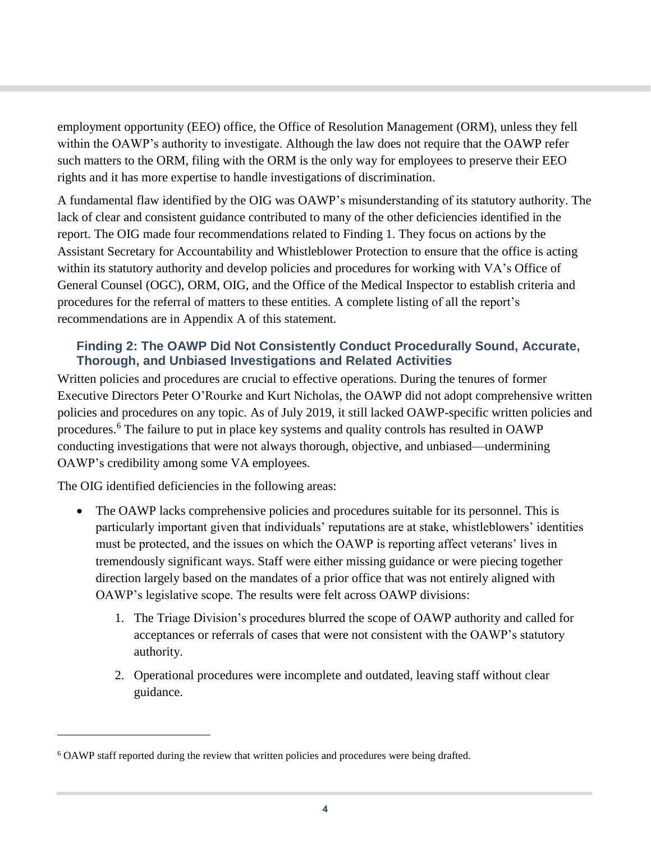employment opportunity (EEO) office, the Office of Resolution Management (ORM), unless they fell within the OAWP's authority to investigate. Although the law does not require that the OAWP refer such matters to the ORM, filing with the ORM is the only way for employees to preserve their EEO rights and it has more expertise to handle investigations of discrimination.

A fundamental flaw identified by the OIG was OAWP's misunderstanding of its statutory authority. The lack of clear and consistent guidance contributed to many of the other deficiencies identified in the report. The OIG made four recommendations related to Finding 1. They focus on actions by the Assistant Secretary for Accountability and Whistleblower Protection to ensure that the office is acting within its statutory authority and develop policies and procedures for working with VA's Office of General Counsel (OGC), ORM, OIG, and the Office of the Medical Inspector to establish criteria and procedures for the referral of matters to these entities. A complete listing of all the report's recommendations are in Appendix A of this statement.

#### **Finding 2: The OAWP Did Not Consistently Conduct Procedurally Sound, Accurate, Thorough, and Unbiased Investigations and Related Activities**

Written policies and procedures are crucial to effective operations. During the tenures of former Executive Directors Peter O'Rourke and Kurt Nicholas, the OAWP did not adopt comprehensive written policies and procedures on any topic. As of July 2019, it still lacked OAWP-specific written policies and procedures.<sup>6</sup> The failure to put in place key systems and quality controls has resulted in OAWP conducting investigations that were not always thorough, objective, and unbiased—undermining OAWP's credibility among some VA employees.

The OIG identified deficiencies in the following areas:

- The OAWP lacks comprehensive policies and procedures suitable for its personnel. This is particularly important given that individuals' reputations are at stake, whistleblowers' identities must be protected, and the issues on which the OAWP is reporting affect veterans' lives in tremendously significant ways. Staff were either missing guidance or were piecing together direction largely based on the mandates of a prior office that was not entirely aligned with OAWP's legislative scope. The results were felt across OAWP divisions:
	- 1. The Triage Division's procedures blurred the scope of OAWP authority and called for acceptances or referrals of cases that were not consistent with the OAWP's statutory authority.
	- 2. Operational procedures were incomplete and outdated, leaving staff without clear guidance.

<sup>6</sup> OAWP staff reported during the review that written policies and procedures were being drafted.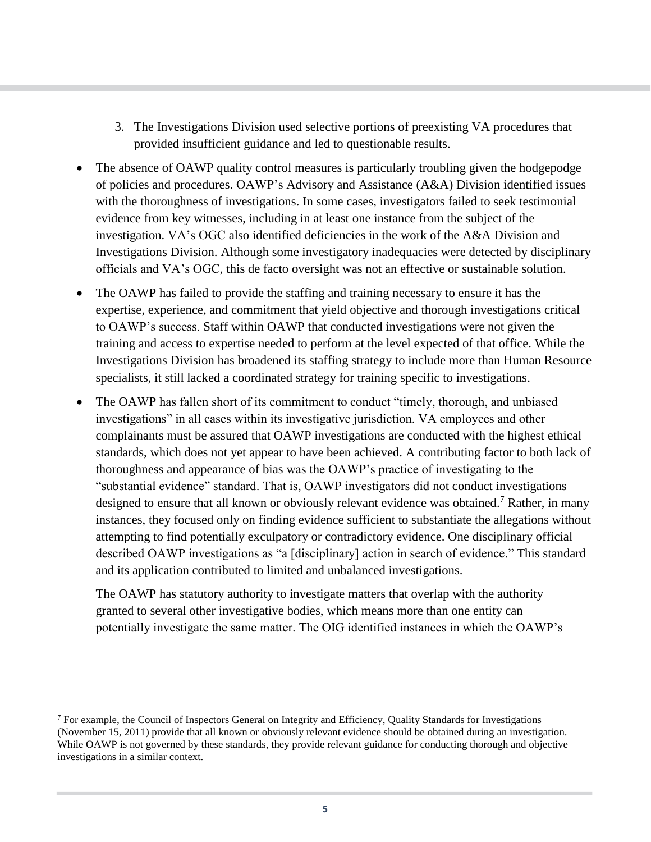- 3. The Investigations Division used selective portions of preexisting VA procedures that provided insufficient guidance and led to questionable results.
- The absence of OAWP quality control measures is particularly troubling given the hodgepodge of policies and procedures. OAWP's Advisory and Assistance (A&A) Division identified issues with the thoroughness of investigations. In some cases, investigators failed to seek testimonial evidence from key witnesses, including in at least one instance from the subject of the investigation. VA's OGC also identified deficiencies in the work of the A&A Division and Investigations Division. Although some investigatory inadequacies were detected by disciplinary officials and VA's OGC, this de facto oversight was not an effective or sustainable solution.
- The OAWP has failed to provide the staffing and training necessary to ensure it has the expertise, experience, and commitment that yield objective and thorough investigations critical to OAWP's success. Staff within OAWP that conducted investigations were not given the training and access to expertise needed to perform at the level expected of that office. While the Investigations Division has broadened its staffing strategy to include more than Human Resource specialists, it still lacked a coordinated strategy for training specific to investigations.
- The OAWP has fallen short of its commitment to conduct "timely, thorough, and unbiased investigations" in all cases within its investigative jurisdiction. VA employees and other complainants must be assured that OAWP investigations are conducted with the highest ethical standards, which does not yet appear to have been achieved. A contributing factor to both lack of thoroughness and appearance of bias was the OAWP's practice of investigating to the "substantial evidence" standard. That is, OAWP investigators did not conduct investigations designed to ensure that all known or obviously relevant evidence was obtained.<sup>7</sup> Rather, in many instances, they focused only on finding evidence sufficient to substantiate the allegations without attempting to find potentially exculpatory or contradictory evidence. One disciplinary official described OAWP investigations as "a [disciplinary] action in search of evidence." This standard and its application contributed to limited and unbalanced investigations.

The OAWP has statutory authority to investigate matters that overlap with the authority granted to several other investigative bodies, which means more than one entity can potentially investigate the same matter. The OIG identified instances in which the OAWP's

 $<sup>7</sup>$  For example, the Council of Inspectors General on Integrity and Efficiency, Quality Standards for Investigations</sup> (November 15, 2011) provide that all known or obviously relevant evidence should be obtained during an investigation. While OAWP is not governed by these standards, they provide relevant guidance for conducting thorough and objective investigations in a similar context.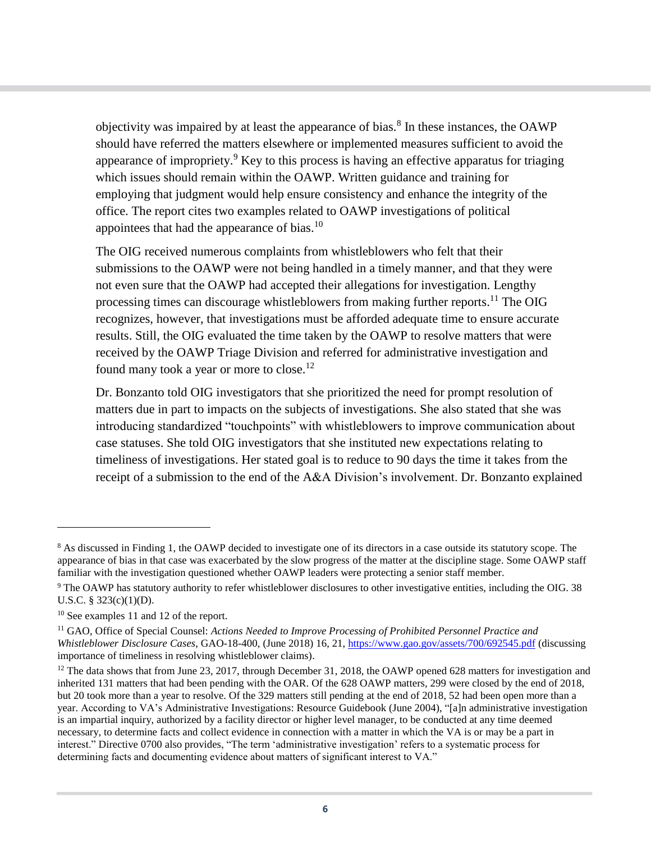objectivity was impaired by at least the appearance of bias.<sup>8</sup> In these instances, the OAWP should have referred the matters elsewhere or implemented measures sufficient to avoid the appearance of impropriety.<sup>9</sup> Key to this process is having an effective apparatus for triaging which issues should remain within the OAWP. Written guidance and training for employing that judgment would help ensure consistency and enhance the integrity of the office. The report cites two examples related to OAWP investigations of political appointees that had the appearance of bias. $10$ 

The OIG received numerous complaints from whistleblowers who felt that their submissions to the OAWP were not being handled in a timely manner, and that they were not even sure that the OAWP had accepted their allegations for investigation. Lengthy processing times can discourage whistleblowers from making further reports.<sup>11</sup> The OIG recognizes, however, that investigations must be afforded adequate time to ensure accurate results. Still, the OIG evaluated the time taken by the OAWP to resolve matters that were received by the OAWP Triage Division and referred for administrative investigation and found many took a year or more to close.<sup>12</sup>

Dr. Bonzanto told OIG investigators that she prioritized the need for prompt resolution of matters due in part to impacts on the subjects of investigations. She also stated that she was introducing standardized "touchpoints" with whistleblowers to improve communication about case statuses. She told OIG investigators that she instituted new expectations relating to timeliness of investigations. Her stated goal is to reduce to 90 days the time it takes from the receipt of a submission to the end of the A&A Division's involvement. Dr. Bonzanto explained

<sup>&</sup>lt;sup>8</sup> As discussed in Finding 1, the OAWP decided to investigate one of its directors in a case outside its statutory scope. The appearance of bias in that case was exacerbated by the slow progress of the matter at the discipline stage. Some OAWP staff familiar with the investigation questioned whether OAWP leaders were protecting a senior staff member.

<sup>&</sup>lt;sup>9</sup> The OAWP has statutory authority to refer whistleblower disclosures to other investigative entities, including the OIG. 38 U.S.C. § 323(c)(1)(D).

<sup>10</sup> See examples 11 and 12 of the report.

<sup>11</sup> GAO, Office of Special Counsel: *Actions Needed to Improve Processing of Prohibited Personnel Practice and Whistleblower Disclosure Cases*, GAO-18-400, (June 2018) 16, 21,<https://www.gao.gov/assets/700/692545.pdf> (discussing importance of timeliness in resolving whistleblower claims).

<sup>&</sup>lt;sup>12</sup> The data shows that from June 23, 2017, through December 31, 2018, the OAWP opened 628 matters for investigation and inherited 131 matters that had been pending with the OAR. Of the 628 OAWP matters, 299 were closed by the end of 2018, but 20 took more than a year to resolve. Of the 329 matters still pending at the end of 2018, 52 had been open more than a year. According to VA's Administrative Investigations: Resource Guidebook (June 2004), "[a]n administrative investigation is an impartial inquiry, authorized by a facility director or higher level manager, to be conducted at any time deemed necessary, to determine facts and collect evidence in connection with a matter in which the VA is or may be a part in interest." Directive 0700 also provides, "The term 'administrative investigation' refers to a systematic process for determining facts and documenting evidence about matters of significant interest to VA."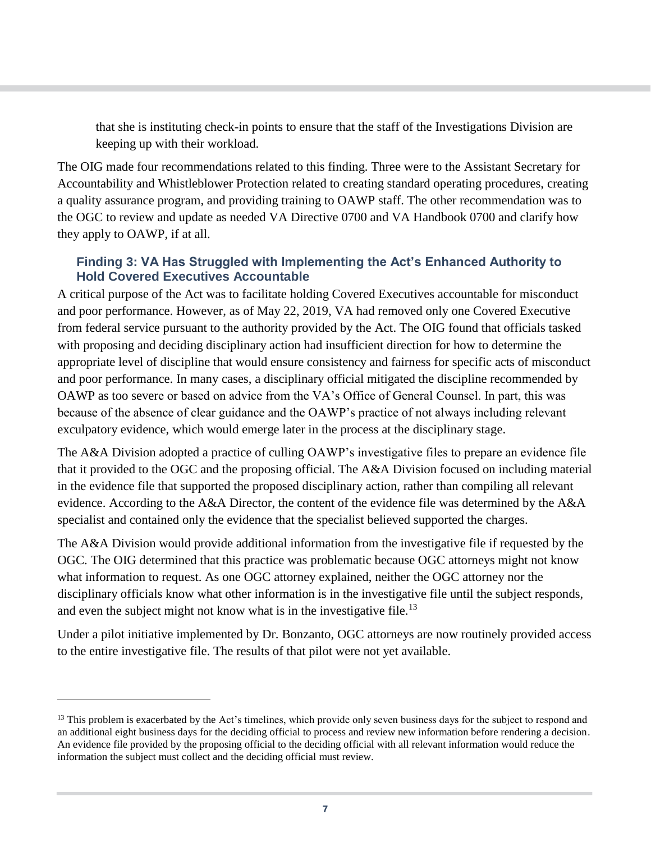that she is instituting check-in points to ensure that the staff of the Investigations Division are keeping up with their workload.

The OIG made four recommendations related to this finding. Three were to the Assistant Secretary for Accountability and Whistleblower Protection related to creating standard operating procedures, creating a quality assurance program, and providing training to OAWP staff. The other recommendation was to the OGC to review and update as needed VA Directive 0700 and VA Handbook 0700 and clarify how they apply to OAWP, if at all.

#### **Finding 3: VA Has Struggled with Implementing the Act's Enhanced Authority to Hold Covered Executives Accountable**

A critical purpose of the Act was to facilitate holding Covered Executives accountable for misconduct and poor performance. However, as of May 22, 2019, VA had removed only one Covered Executive from federal service pursuant to the authority provided by the Act. The OIG found that officials tasked with proposing and deciding disciplinary action had insufficient direction for how to determine the appropriate level of discipline that would ensure consistency and fairness for specific acts of misconduct and poor performance. In many cases, a disciplinary official mitigated the discipline recommended by OAWP as too severe or based on advice from the VA's Office of General Counsel. In part, this was because of the absence of clear guidance and the OAWP's practice of not always including relevant exculpatory evidence, which would emerge later in the process at the disciplinary stage.

The A&A Division adopted a practice of culling OAWP's investigative files to prepare an evidence file that it provided to the OGC and the proposing official. The A&A Division focused on including material in the evidence file that supported the proposed disciplinary action, rather than compiling all relevant evidence. According to the A&A Director, the content of the evidence file was determined by the A&A specialist and contained only the evidence that the specialist believed supported the charges.

The A&A Division would provide additional information from the investigative file if requested by the OGC. The OIG determined that this practice was problematic because OGC attorneys might not know what information to request. As one OGC attorney explained, neither the OGC attorney nor the disciplinary officials know what other information is in the investigative file until the subject responds, and even the subject might not know what is in the investigative file.<sup>13</sup>

Under a pilot initiative implemented by Dr. Bonzanto, OGC attorneys are now routinely provided access to the entire investigative file. The results of that pilot were not yet available.

<sup>&</sup>lt;sup>13</sup> This problem is exacerbated by the Act's timelines, which provide only seven business days for the subject to respond and an additional eight business days for the deciding official to process and review new information before rendering a decision. An evidence file provided by the proposing official to the deciding official with all relevant information would reduce the information the subject must collect and the deciding official must review.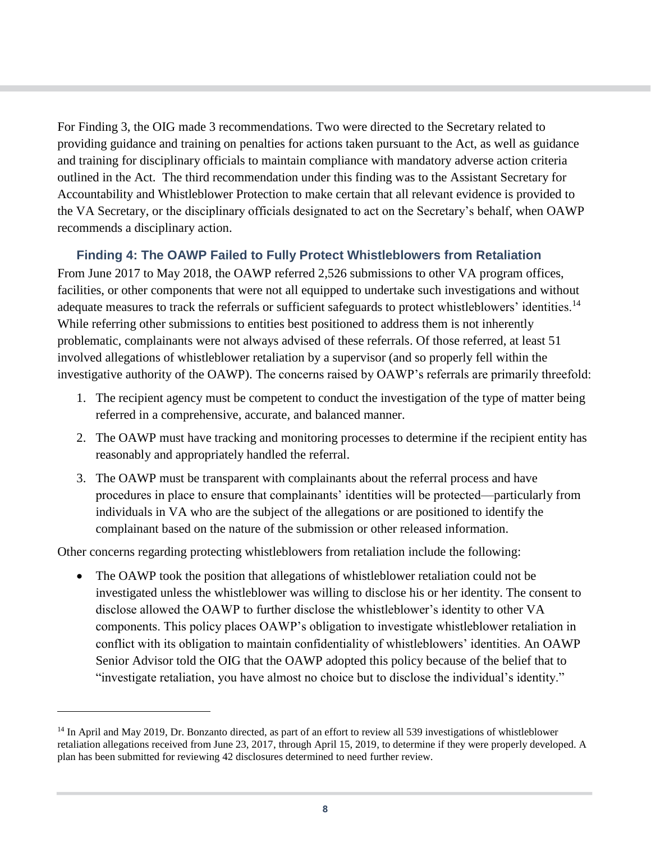For Finding 3, the OIG made 3 recommendations. Two were directed to the Secretary related to providing guidance and training on penalties for actions taken pursuant to the Act, as well as guidance and training for disciplinary officials to maintain compliance with mandatory adverse action criteria outlined in the Act. The third recommendation under this finding was to the Assistant Secretary for Accountability and Whistleblower Protection to make certain that all relevant evidence is provided to the VA Secretary, or the disciplinary officials designated to act on the Secretary's behalf, when OAWP recommends a disciplinary action.

### **Finding 4: The OAWP Failed to Fully Protect Whistleblowers from Retaliation**

From June 2017 to May 2018, the OAWP referred 2,526 submissions to other VA program offices, facilities, or other components that were not all equipped to undertake such investigations and without adequate measures to track the referrals or sufficient safeguards to protect whistleblowers' identities.<sup>14</sup> While referring other submissions to entities best positioned to address them is not inherently problematic, complainants were not always advised of these referrals. Of those referred, at least 51 involved allegations of whistleblower retaliation by a supervisor (and so properly fell within the investigative authority of the OAWP). The concerns raised by OAWP's referrals are primarily threefold:

- 1. The recipient agency must be competent to conduct the investigation of the type of matter being referred in a comprehensive, accurate, and balanced manner.
- 2. The OAWP must have tracking and monitoring processes to determine if the recipient entity has reasonably and appropriately handled the referral.
- 3. The OAWP must be transparent with complainants about the referral process and have procedures in place to ensure that complainants' identities will be protected—particularly from individuals in VA who are the subject of the allegations or are positioned to identify the complainant based on the nature of the submission or other released information.

Other concerns regarding protecting whistleblowers from retaliation include the following:

 $\overline{a}$ 

The OAWP took the position that allegations of whistleblower retaliation could not be investigated unless the whistleblower was willing to disclose his or her identity. The consent to disclose allowed the OAWP to further disclose the whistleblower's identity to other VA components. This policy places OAWP's obligation to investigate whistleblower retaliation in conflict with its obligation to maintain confidentiality of whistleblowers' identities. An OAWP Senior Advisor told the OIG that the OAWP adopted this policy because of the belief that to "investigate retaliation, you have almost no choice but to disclose the individual's identity."

<sup>&</sup>lt;sup>14</sup> In April and May 2019, Dr. Bonzanto directed, as part of an effort to review all 539 investigations of whistleblower retaliation allegations received from June 23, 2017, through April 15, 2019, to determine if they were properly developed. A plan has been submitted for reviewing 42 disclosures determined to need further review.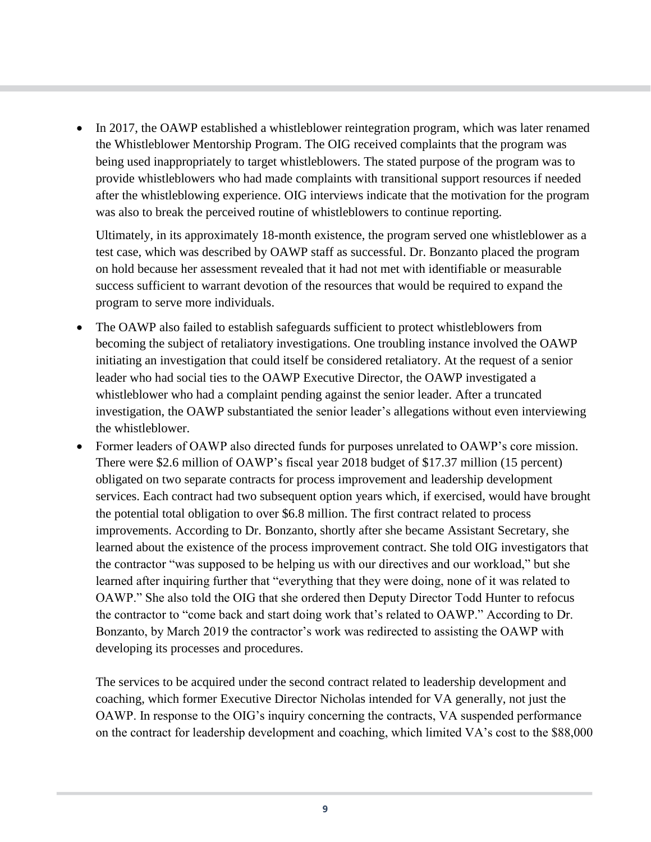• In 2017, the OAWP established a whistleblower reintegration program, which was later renamed the Whistleblower Mentorship Program. The OIG received complaints that the program was being used inappropriately to target whistleblowers. The stated purpose of the program was to provide whistleblowers who had made complaints with transitional support resources if needed after the whistleblowing experience. OIG interviews indicate that the motivation for the program was also to break the perceived routine of whistleblowers to continue reporting.

Ultimately, in its approximately 18-month existence, the program served one whistleblower as a test case, which was described by OAWP staff as successful. Dr. Bonzanto placed the program on hold because her assessment revealed that it had not met with identifiable or measurable success sufficient to warrant devotion of the resources that would be required to expand the program to serve more individuals.

- The OAWP also failed to establish safeguards sufficient to protect whistleblowers from becoming the subject of retaliatory investigations. One troubling instance involved the OAWP initiating an investigation that could itself be considered retaliatory. At the request of a senior leader who had social ties to the OAWP Executive Director, the OAWP investigated a whistleblower who had a complaint pending against the senior leader. After a truncated investigation, the OAWP substantiated the senior leader's allegations without even interviewing the whistleblower.
- Former leaders of OAWP also directed funds for purposes unrelated to OAWP's core mission. There were \$2.6 million of OAWP's fiscal year 2018 budget of \$17.37 million (15 percent) obligated on two separate contracts for process improvement and leadership development services. Each contract had two subsequent option years which, if exercised, would have brought the potential total obligation to over \$6.8 million. The first contract related to process improvements. According to Dr. Bonzanto, shortly after she became Assistant Secretary, she learned about the existence of the process improvement contract. She told OIG investigators that the contractor "was supposed to be helping us with our directives and our workload," but she learned after inquiring further that "everything that they were doing, none of it was related to OAWP." She also told the OIG that she ordered then Deputy Director Todd Hunter to refocus the contractor to "come back and start doing work that's related to OAWP." According to Dr. Bonzanto, by March 2019 the contractor's work was redirected to assisting the OAWP with developing its processes and procedures.

The services to be acquired under the second contract related to leadership development and coaching, which former Executive Director Nicholas intended for VA generally, not just the OAWP. In response to the OIG's inquiry concerning the contracts, VA suspended performance on the contract for leadership development and coaching, which limited VA's cost to the \$88,000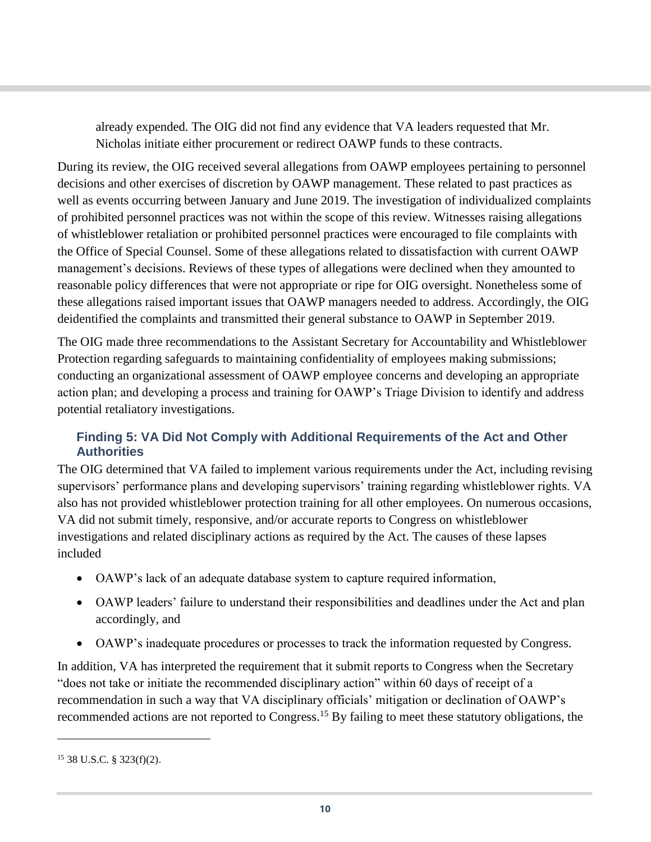already expended. The OIG did not find any evidence that VA leaders requested that Mr. Nicholas initiate either procurement or redirect OAWP funds to these contracts.

During its review, the OIG received several allegations from OAWP employees pertaining to personnel decisions and other exercises of discretion by OAWP management. These related to past practices as well as events occurring between January and June 2019. The investigation of individualized complaints of prohibited personnel practices was not within the scope of this review. Witnesses raising allegations of whistleblower retaliation or prohibited personnel practices were encouraged to file complaints with the Office of Special Counsel. Some of these allegations related to dissatisfaction with current OAWP management's decisions. Reviews of these types of allegations were declined when they amounted to reasonable policy differences that were not appropriate or ripe for OIG oversight. Nonetheless some of these allegations raised important issues that OAWP managers needed to address. Accordingly, the OIG deidentified the complaints and transmitted their general substance to OAWP in September 2019.

The OIG made three recommendations to the Assistant Secretary for Accountability and Whistleblower Protection regarding safeguards to maintaining confidentiality of employees making submissions; conducting an organizational assessment of OAWP employee concerns and developing an appropriate action plan; and developing a process and training for OAWP's Triage Division to identify and address potential retaliatory investigations.

### **Finding 5: VA Did Not Comply with Additional Requirements of the Act and Other Authorities**

The OIG determined that VA failed to implement various requirements under the Act, including revising supervisors' performance plans and developing supervisors' training regarding whistleblower rights. VA also has not provided whistleblower protection training for all other employees. On numerous occasions, VA did not submit timely, responsive, and/or accurate reports to Congress on whistleblower investigations and related disciplinary actions as required by the Act. The causes of these lapses included

- OAWP's lack of an adequate database system to capture required information,
- OAWP leaders' failure to understand their responsibilities and deadlines under the Act and plan accordingly, and
- OAWP's inadequate procedures or processes to track the information requested by Congress.

In addition, VA has interpreted the requirement that it submit reports to Congress when the Secretary "does not take or initiate the recommended disciplinary action" within 60 days of receipt of a recommendation in such a way that VA disciplinary officials' mitigation or declination of OAWP's recommended actions are not reported to Congress.<sup>15</sup> By failing to meet these statutory obligations, the

<sup>15</sup> 38 U.S.C. § 323(f)(2).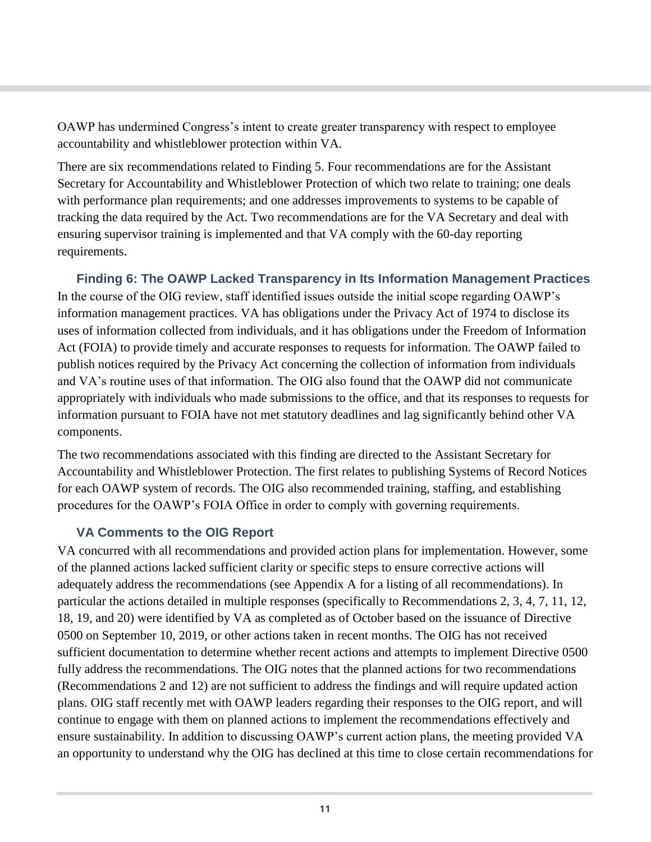OAWP has undermined Congress's intent to create greater transparency with respect to employee accountability and whistleblower protection within VA.

There are six recommendations related to Finding 5. Four recommendations are for the Assistant Secretary for Accountability and Whistleblower Protection of which two relate to training; one deals with performance plan requirements; and one addresses improvements to systems to be capable of tracking the data required by the Act. Two recommendations are for the VA Secretary and deal with ensuring supervisor training is implemented and that VA comply with the 60-day reporting requirements.

**Finding 6: The OAWP Lacked Transparency in Its Information Management Practices**  In the course of the OIG review, staff identified issues outside the initial scope regarding OAWP's information management practices. VA has obligations under the Privacy Act of 1974 to disclose its uses of information collected from individuals, and it has obligations under the Freedom of Information Act (FOIA) to provide timely and accurate responses to requests for information. The OAWP failed to publish notices required by the Privacy Act concerning the collection of information from individuals and VA's routine uses of that information. The OIG also found that the OAWP did not communicate appropriately with individuals who made submissions to the office, and that its responses to requests for information pursuant to FOIA have not met statutory deadlines and lag significantly behind other VA components.

The two recommendations associated with this finding are directed to the Assistant Secretary for Accountability and Whistleblower Protection. The first relates to publishing Systems of Record Notices for each OAWP system of records. The OIG also recommended training, staffing, and establishing procedures for the OAWP's FOIA Office in order to comply with governing requirements.

#### **VA Comments to the OIG Report**

VA concurred with all recommendations and provided action plans for implementation. However, some of the planned actions lacked sufficient clarity or specific steps to ensure corrective actions will adequately address the recommendations (see Appendix A for a listing of all recommendations). In particular the actions detailed in multiple responses (specifically to Recommendations 2, 3, 4, 7, 11, 12, 18, 19, and 20) were identified by VA as completed as of October based on the issuance of Directive 0500 on September 10, 2019, or other actions taken in recent months. The OIG has not received sufficient documentation to determine whether recent actions and attempts to implement Directive 0500 fully address the recommendations. The OIG notes that the planned actions for two recommendations (Recommendations 2 and 12) are not sufficient to address the findings and will require updated action plans. OIG staff recently met with OAWP leaders regarding their responses to the OIG report, and will continue to engage with them on planned actions to implement the recommendations effectively and ensure sustainability. In addition to discussing OAWP's current action plans, the meeting provided VA an opportunity to understand why the OIG has declined at this time to close certain recommendations for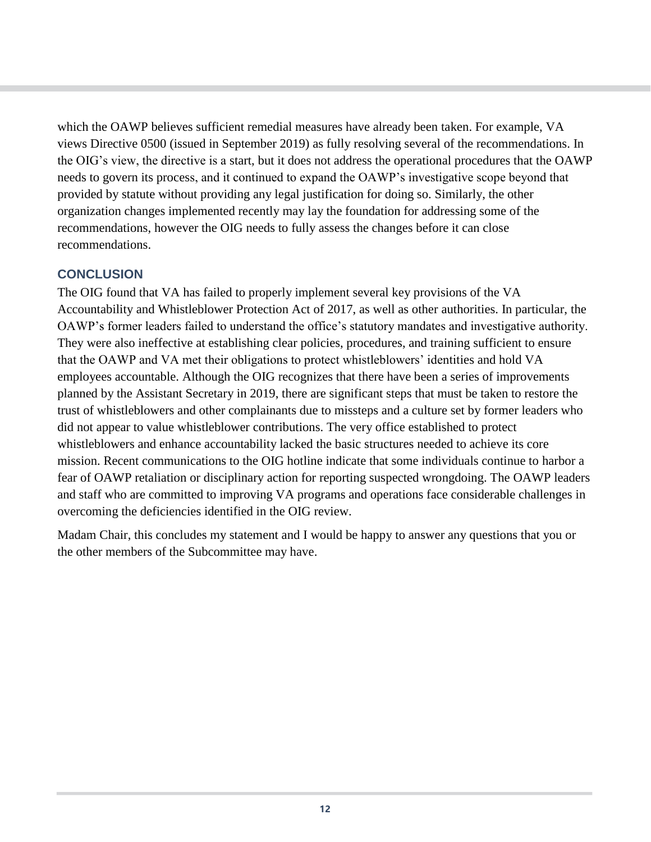which the OAWP believes sufficient remedial measures have already been taken. For example, VA views Directive 0500 (issued in September 2019) as fully resolving several of the recommendations. In the OIG's view, the directive is a start, but it does not address the operational procedures that the OAWP needs to govern its process, and it continued to expand the OAWP's investigative scope beyond that provided by statute without providing any legal justification for doing so. Similarly, the other organization changes implemented recently may lay the foundation for addressing some of the recommendations, however the OIG needs to fully assess the changes before it can close recommendations.

## **CONCLUSION**

The OIG found that VA has failed to properly implement several key provisions of the VA Accountability and Whistleblower Protection Act of 2017, as well as other authorities. In particular, the OAWP's former leaders failed to understand the office's statutory mandates and investigative authority. They were also ineffective at establishing clear policies, procedures, and training sufficient to ensure that the OAWP and VA met their obligations to protect whistleblowers' identities and hold VA employees accountable. Although the OIG recognizes that there have been a series of improvements planned by the Assistant Secretary in 2019, there are significant steps that must be taken to restore the trust of whistleblowers and other complainants due to missteps and a culture set by former leaders who did not appear to value whistleblower contributions. The very office established to protect whistleblowers and enhance accountability lacked the basic structures needed to achieve its core mission. Recent communications to the OIG hotline indicate that some individuals continue to harbor a fear of OAWP retaliation or disciplinary action for reporting suspected wrongdoing. The OAWP leaders and staff who are committed to improving VA programs and operations face considerable challenges in overcoming the deficiencies identified in the OIG review.

Madam Chair, this concludes my statement and I would be happy to answer any questions that you or the other members of the Subcommittee may have.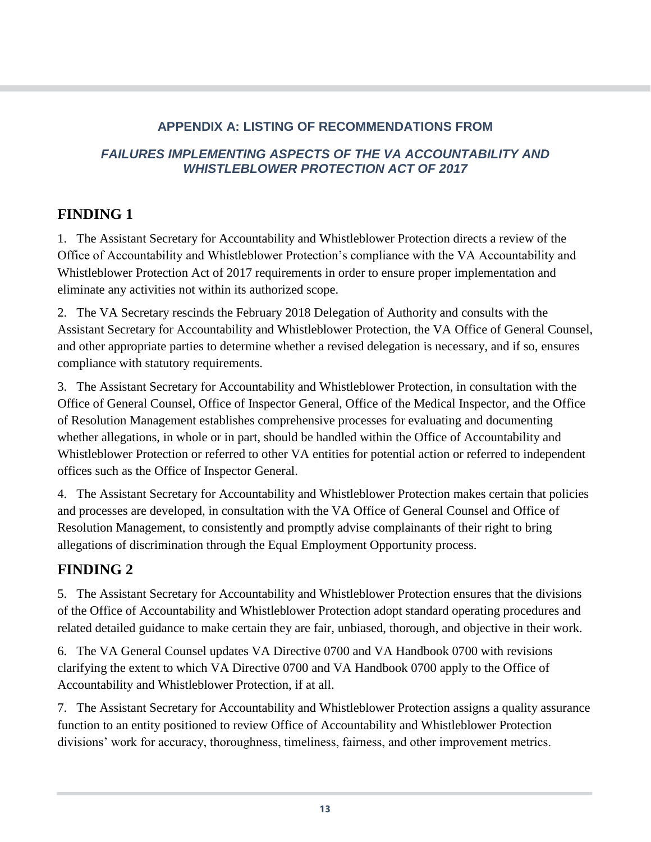## **APPENDIX A: LISTING OF RECOMMENDATIONS FROM**

## *FAILURES IMPLEMENTING ASPECTS OF THE VA ACCOUNTABILITY AND WHISTLEBLOWER PROTECTION ACT OF 2017*

## **FINDING 1**

1. The Assistant Secretary for Accountability and Whistleblower Protection directs a review of the Office of Accountability and Whistleblower Protection's compliance with the VA Accountability and Whistleblower Protection Act of 2017 requirements in order to ensure proper implementation and eliminate any activities not within its authorized scope.

2. The VA Secretary rescinds the February 2018 Delegation of Authority and consults with the Assistant Secretary for Accountability and Whistleblower Protection, the VA Office of General Counsel, and other appropriate parties to determine whether a revised delegation is necessary, and if so, ensures compliance with statutory requirements.

3. The Assistant Secretary for Accountability and Whistleblower Protection, in consultation with the Office of General Counsel, Office of Inspector General, Office of the Medical Inspector, and the Office of Resolution Management establishes comprehensive processes for evaluating and documenting whether allegations, in whole or in part, should be handled within the Office of Accountability and Whistleblower Protection or referred to other VA entities for potential action or referred to independent offices such as the Office of Inspector General.

4. The Assistant Secretary for Accountability and Whistleblower Protection makes certain that policies and processes are developed, in consultation with the VA Office of General Counsel and Office of Resolution Management, to consistently and promptly advise complainants of their right to bring allegations of discrimination through the Equal Employment Opportunity process.

# **FINDING 2**

5. The Assistant Secretary for Accountability and Whistleblower Protection ensures that the divisions of the Office of Accountability and Whistleblower Protection adopt standard operating procedures and related detailed guidance to make certain they are fair, unbiased, thorough, and objective in their work.

6. The VA General Counsel updates VA Directive 0700 and VA Handbook 0700 with revisions clarifying the extent to which VA Directive 0700 and VA Handbook 0700 apply to the Office of Accountability and Whistleblower Protection, if at all.

7. The Assistant Secretary for Accountability and Whistleblower Protection assigns a quality assurance function to an entity positioned to review Office of Accountability and Whistleblower Protection divisions' work for accuracy, thoroughness, timeliness, fairness, and other improvement metrics.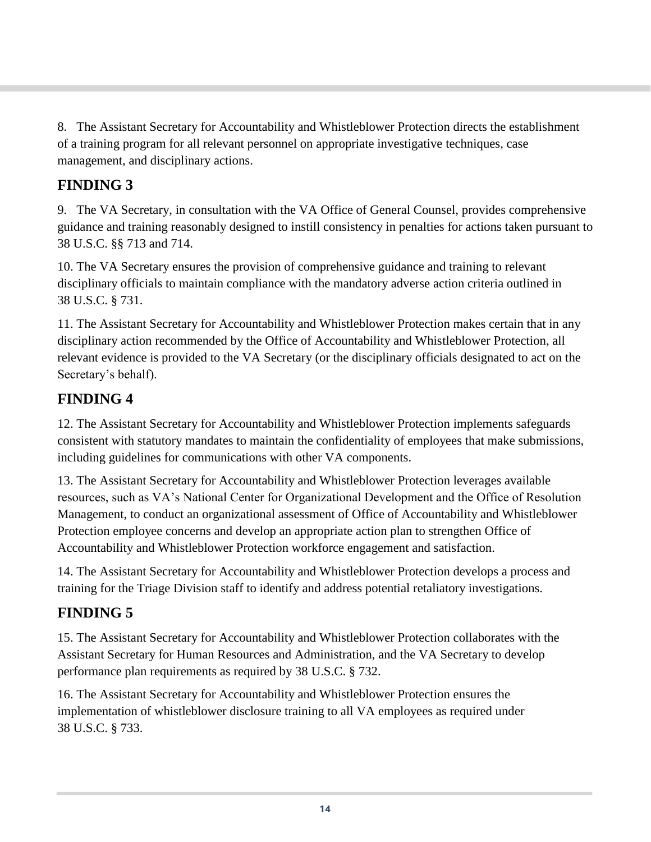8. The Assistant Secretary for Accountability and Whistleblower Protection directs the establishment of a training program for all relevant personnel on appropriate investigative techniques, case management, and disciplinary actions.

# **FINDING 3**

9. The VA Secretary, in consultation with the VA Office of General Counsel, provides comprehensive guidance and training reasonably designed to instill consistency in penalties for actions taken pursuant to 38 U.S.C. §§ 713 and 714.

10. The VA Secretary ensures the provision of comprehensive guidance and training to relevant disciplinary officials to maintain compliance with the mandatory adverse action criteria outlined in 38 U.S.C. § 731.

11. The Assistant Secretary for Accountability and Whistleblower Protection makes certain that in any disciplinary action recommended by the Office of Accountability and Whistleblower Protection, all relevant evidence is provided to the VA Secretary (or the disciplinary officials designated to act on the Secretary's behalf).

## **FINDING 4**

12. The Assistant Secretary for Accountability and Whistleblower Protection implements safeguards consistent with statutory mandates to maintain the confidentiality of employees that make submissions, including guidelines for communications with other VA components.

13. The Assistant Secretary for Accountability and Whistleblower Protection leverages available resources, such as VA's National Center for Organizational Development and the Office of Resolution Management, to conduct an organizational assessment of Office of Accountability and Whistleblower Protection employee concerns and develop an appropriate action plan to strengthen Office of Accountability and Whistleblower Protection workforce engagement and satisfaction.

14. The Assistant Secretary for Accountability and Whistleblower Protection develops a process and training for the Triage Division staff to identify and address potential retaliatory investigations.

# **FINDING 5**

15. The Assistant Secretary for Accountability and Whistleblower Protection collaborates with the Assistant Secretary for Human Resources and Administration, and the VA Secretary to develop performance plan requirements as required by 38 U.S.C. § 732.

16. The Assistant Secretary for Accountability and Whistleblower Protection ensures the implementation of whistleblower disclosure training to all VA employees as required under 38 U.S.C. § 733.